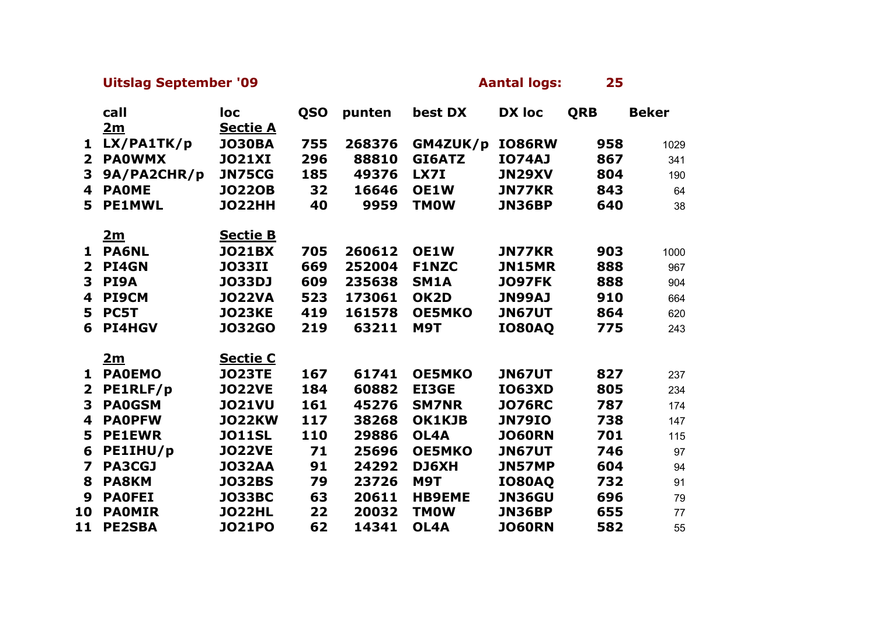## **Uitslag September '09 Aantal logs:** 25

|                         | call          | loc             | <b>QSO</b> | punten | best DX       | <b>DX loc</b> | <b>QRB</b> | <b>Beker</b> |
|-------------------------|---------------|-----------------|------------|--------|---------------|---------------|------------|--------------|
|                         | 2m            | <b>Sectie A</b> |            |        |               |               |            |              |
| 1                       | LX/PA1TK/p    | <b>JO30BA</b>   | 755        | 268376 | GM4ZUK/p      | <b>IO86RW</b> | 958        | 1029         |
| $\mathbf{2}$            | <b>PAOWMX</b> | <b>JO21XI</b>   | 296        | 88810  | GI6ATZ        | <b>IO74AJ</b> | 867        | 341          |
| 3                       | 9A/PA2CHR/p   | <b>JN75CG</b>   | 185        | 49376  | <b>LX7I</b>   | <b>JN29XV</b> | 804        | 190          |
| 4                       | <b>PAOME</b>  | <b>JO220B</b>   | 32         | 16646  | OE1W          | <b>JN77KR</b> | 843        | 64           |
| 5.                      | <b>PE1MWL</b> | <b>JO22HH</b>   | 40         | 9959   | <b>TMOW</b>   | <b>JN36BP</b> | 640        | 38           |
|                         |               |                 |            |        |               |               |            |              |
|                         | 2m            | <b>Sectie B</b> |            |        |               |               |            |              |
| 1                       | <b>PA6NL</b>  | <b>JO21BX</b>   | 705        | 260612 | OE1W          | <b>JN77KR</b> | 903        | 1000         |
| $\mathbf{2}$            | PI4GN         | <b>JO33II</b>   | 669        | 252004 | <b>F1NZC</b>  | <b>JN15MR</b> | 888        | 967          |
| 3                       | PI9A          | <b>JO33DJ</b>   | 609        | 235638 | <b>SM1A</b>   | <b>JO97FK</b> | 888        | 904          |
| 4                       | <b>PI9CM</b>  | <b>JO22VA</b>   | 523        | 173061 | OK2D          | <b>JN99AJ</b> | 910        | 664          |
| 5                       | PC5T          | <b>JO23KE</b>   | 419        | 161578 | <b>OE5MKO</b> | <b>JN67UT</b> | 864        | 620          |
| 6                       | <b>PI4HGV</b> | <b>JO32GO</b>   | 219        | 63211  | <b>M9T</b>    | <b>IO80AQ</b> | 775        | 243          |
|                         |               |                 |            |        |               |               |            |              |
|                         | <u>2m</u>     | <b>Sectie C</b> |            |        |               |               |            |              |
| 1                       | <b>PAOEMO</b> | <b>JO23TE</b>   | 167        | 61741  | <b>OE5MKO</b> | <b>JN67UT</b> | 827        | 237          |
| $\overline{2}$          | PE1RLF/p      | <b>JO22VE</b>   | 184        | 60882  | <b>EI3GE</b>  | <b>IO63XD</b> | 805        | 234          |
| 3                       | <b>PAOGSM</b> | <b>JO21VU</b>   | 161        | 45276  | <b>SM7NR</b>  | <b>JO76RC</b> | 787        | 174          |
| 4                       | <b>PAOPFW</b> | <b>JO22KW</b>   | 117        | 38268  | OK1KJB        | <b>JN79IO</b> | 738        | 147          |
| 5                       | <b>PE1EWR</b> | <b>JO11SL</b>   | 110        | 29886  | OL4A          | <b>JO60RN</b> | 701        | 115          |
| 6                       | PE1IHU/p      | <b>JO22VE</b>   | 71         | 25696  | <b>OE5MKO</b> | <b>JN67UT</b> | 746        | 97           |
| $\overline{\mathbf{z}}$ | <b>PA3CGJ</b> | <b>JO32AA</b>   | 91         | 24292  | DJ6XH         | JN57MP        | 604        | 94           |
| 8                       | <b>PA8KM</b>  | <b>JO32BS</b>   | 79         | 23726  | <b>M9T</b>    | <b>IO80AQ</b> | 732        | 91           |
| 9                       | <b>PAOFEI</b> | <b>JO33BC</b>   | 63         | 20611  | <b>HB9EME</b> | <b>JN36GU</b> | 696        | 79           |
| 10                      | <b>PAOMIR</b> | <b>JO22HL</b>   | 22         | 20032  | <b>TMOW</b>   | <b>JN36BP</b> | 655        | 77           |
| 11                      | <b>PE2SBA</b> | <b>JO21PO</b>   | 62         | 14341  | OL4A          | <b>JO60RN</b> | 582        | 55           |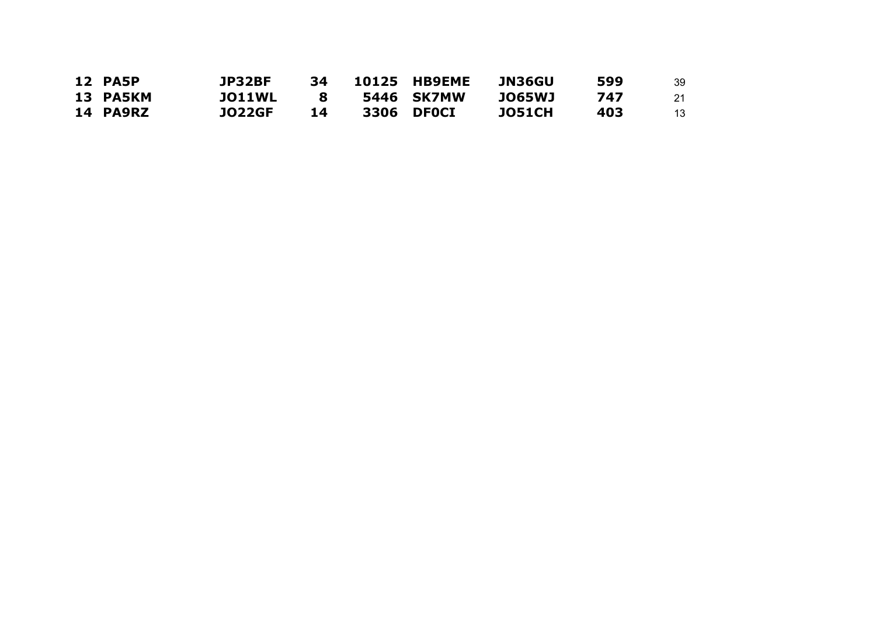| <b>12 PA5P</b> | JP32BF        | 34 | 10125 HB9EME | JN36GU        | 599 | 39 |
|----------------|---------------|----|--------------|---------------|-----|----|
| 13 PA5KM       | <b>JO11WL</b> |    | 5446 SK7MW   | <b>JO65WJ</b> | 747 | 21 |
| 14 PA9RZ       | <b>JO22GF</b> | 14 | 3306 DFOCI   | <b>JO51CH</b> | 403 | 13 |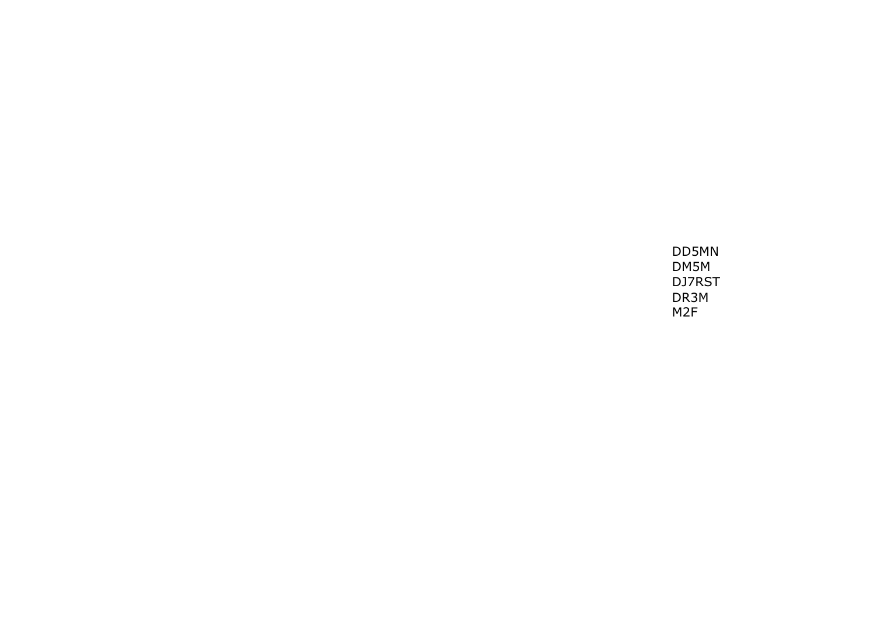DD5MN DM5M DJ7RST DR3M M2F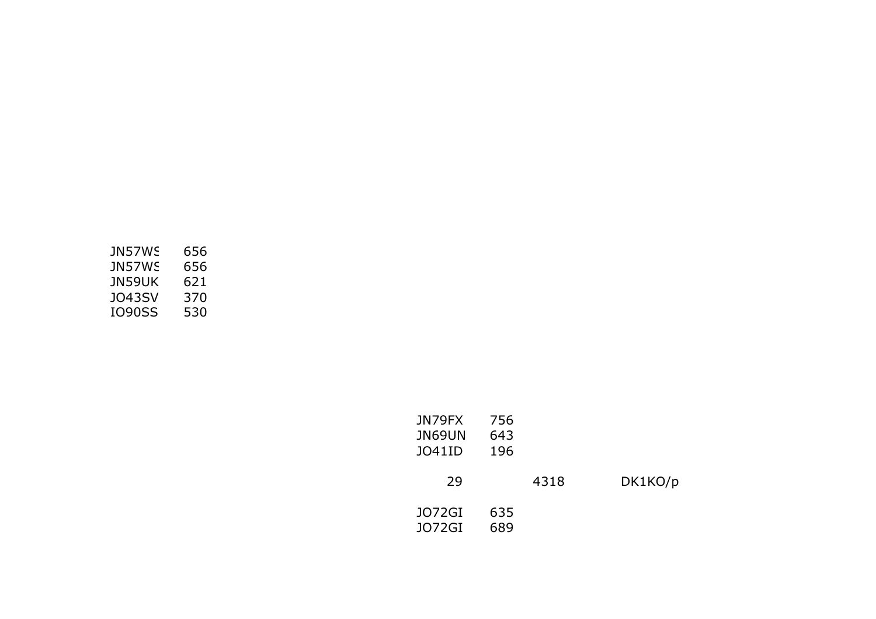| JN57WS | 656 |
|--------|-----|
| JN57WS | 656 |
| JN59UK | 621 |
| J043SV | 370 |
| IO90SS | 530 |

| JN79FX | 756 |      |         |
|--------|-----|------|---------|
| JN69UN | 643 |      |         |
| JO41ID | 196 |      |         |
|        |     |      |         |
| 29     |     | 4318 | DK1KO/p |
|        |     |      |         |
| J072GI | 635 |      |         |
| J072GI | 689 |      |         |
|        |     |      |         |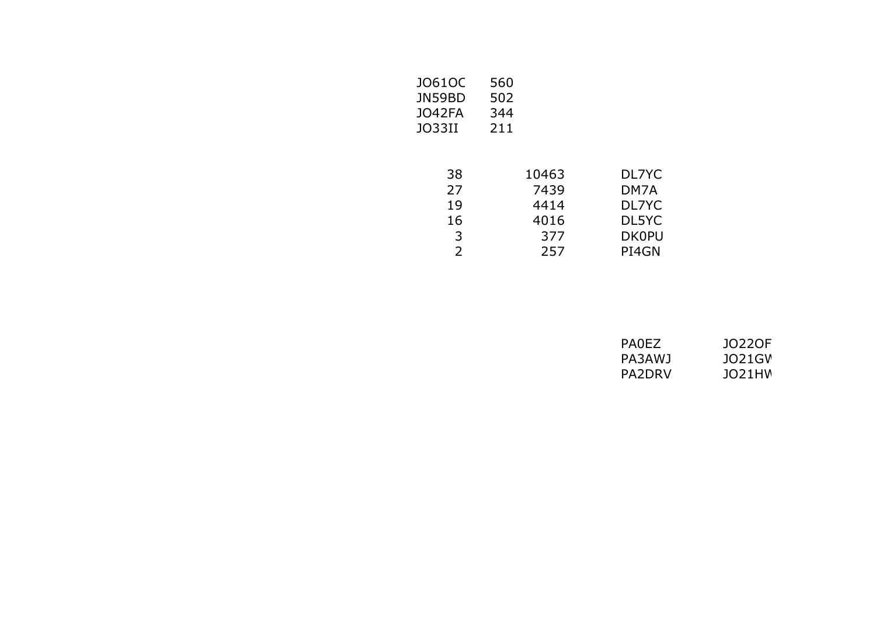| DL7YC        |
|--------------|
| DM7A         |
| DL7YC        |
| DL5YC        |
| <b>DK0PU</b> |
| PI4GN        |
|              |

| PA0EZ  | 10220F   |
|--------|----------|
| PA3AWJ | JO21GV   |
| PA2DRV | 1021 H.W |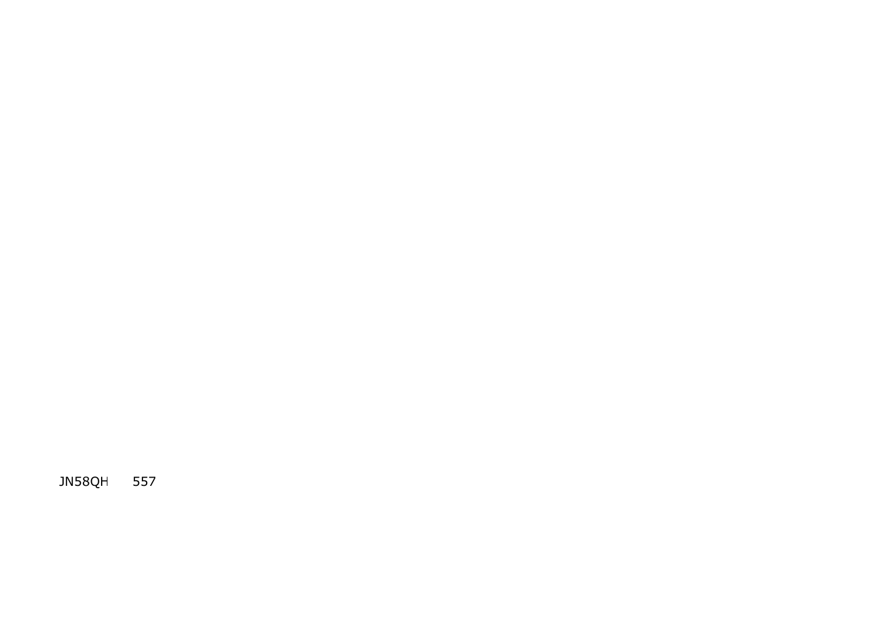JN58QH 557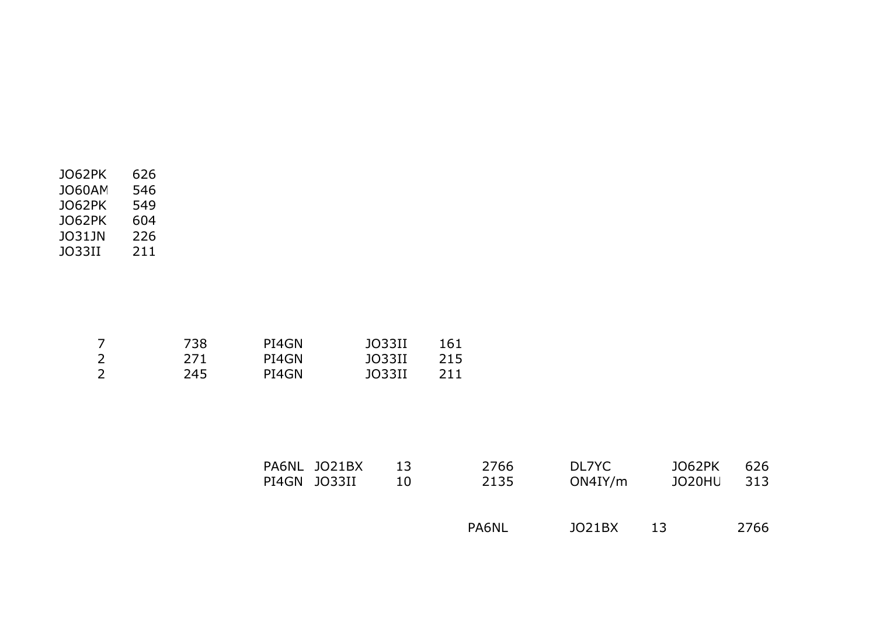| JO62PK        | 626 |
|---------------|-----|
| <b>JO60AM</b> | 546 |
| JO62PK        | 549 |
| JO62PK        | 604 |
| JO31JN        | 226 |
| JO33II        | 211 |
|               |     |

|    | 738  | PI4GN | JO33II | 161 |
|----|------|-------|--------|-----|
| ົາ | 271. | PI4GN | JO33II | 215 |
|    | 245  | PI4GN | JO33II | 211 |

| PA6NL JO21BX | 13 | 2766  | DL7YC   | JO62PK | 626 |
|--------------|----|-------|---------|--------|-----|
| PI4GN JO33II | 10 | 2135  | ON4IY/m | JO20HU | 313 |
|              |    | PA6NL | JO21BX  | -13    |     |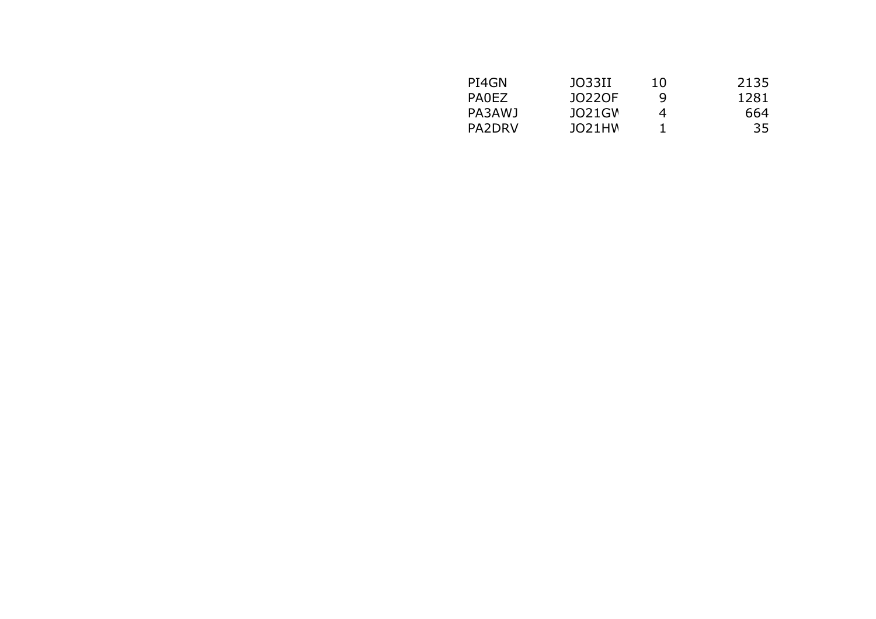| JO33II | 10 | 2135 |
|--------|----|------|
| J0220F | q  | 1281 |
| JO21GV | 4  | 664  |
| JO21HW |    | 35   |
|        |    |      |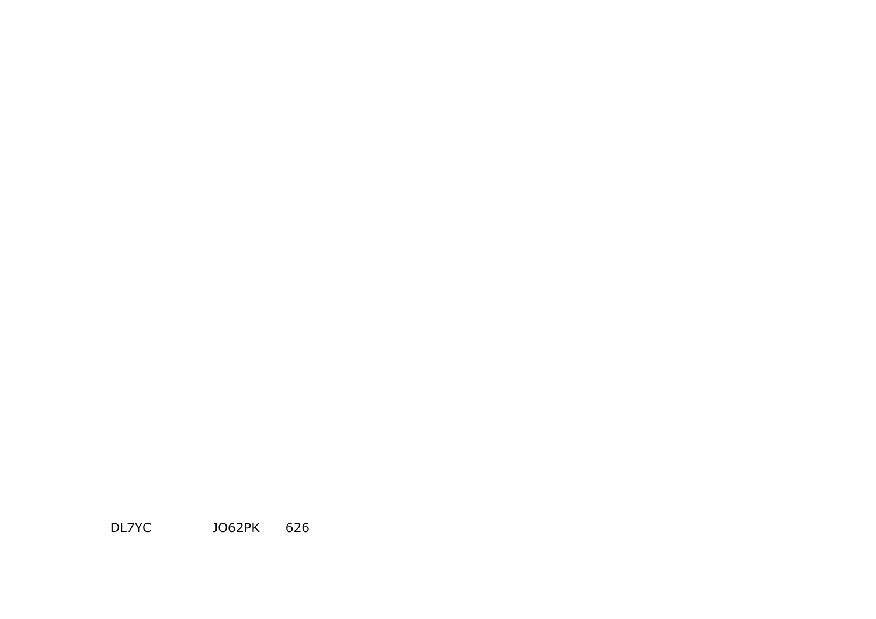DL7YC JO62PK 626